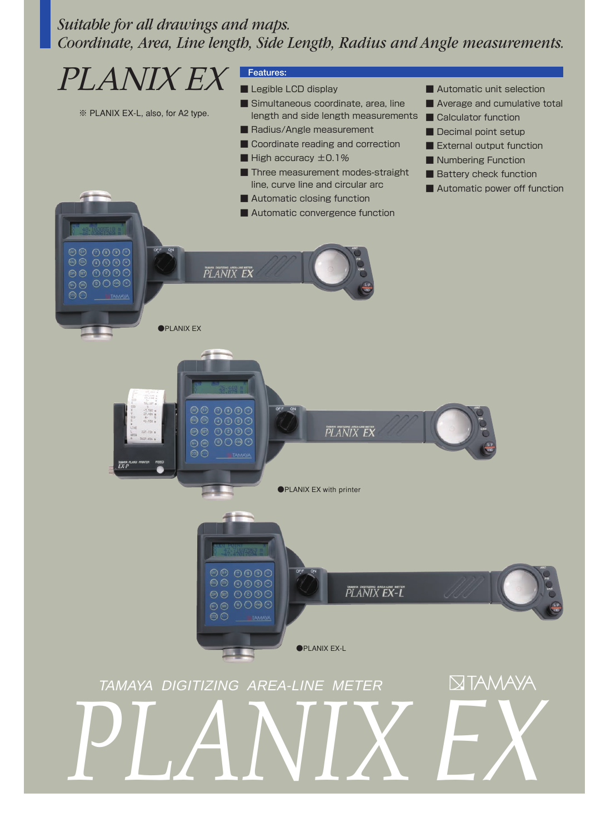# *Suitable for all drawings and maps. Coordinate, Area, Line length, Side Length, Radius and Angle measurements.*